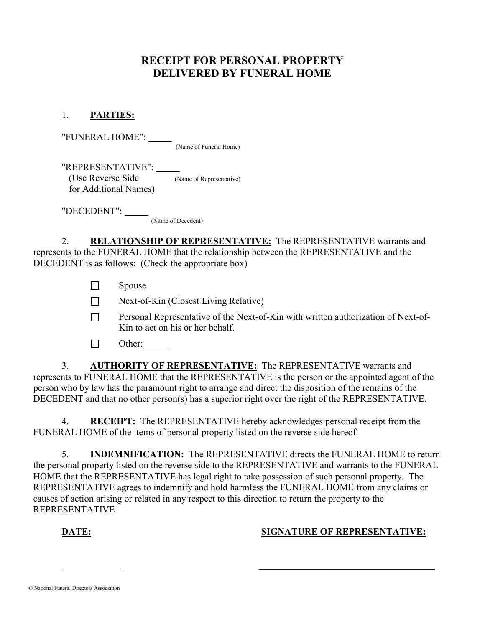# RECEIPT FOR PERSONAL PROPERTY DELIVERED BY FUNERAL HOME

### 1. PARTIES:

"FUNERAL HOME":

(Name of Funeral Home)

 "REPRESENTATIVE": (Use Reverse Side (Name of Representative) for Additional Names)

 "DECEDENT": (Name of Decedent)

2. RELATIONSHIP OF REPRESENTATIVE: The REPRESENTATIVE warrants and represents to the FUNERAL HOME that the relationship between the REPRESENTATIVE and the DECEDENT is as follows: (Check the appropriate box)

 $\Box$  Spouse

 $\Box$  Next-of-Kin (Closest Living Relative)

**Personal Representative of the Next-of-Kin with written authorization of Next-of-**Kin to act on his or her behalf.

 $\Box$  Other:

 3. AUTHORITY OF REPRESENTATIVE: The REPRESENTATIVE warrants and represents to FUNERAL HOME that the REPRESENTATIVE is the person or the appointed agent of the person who by law has the paramount right to arrange and direct the disposition of the remains of the DECEDENT and that no other person(s) has a superior right over the right of the REPRESENTATIVE.

 4. RECEIPT: The REPRESENTATIVE hereby acknowledges personal receipt from the FUNERAL HOME of the items of personal property listed on the reverse side hereof.

 5. INDEMNIFICATION: The REPRESENTATIVE directs the FUNERAL HOME to return the personal property listed on the reverse side to the REPRESENTATIVE and warrants to the FUNERAL HOME that the REPRESENTATIVE has legal right to take possession of such personal property. The REPRESENTATIVE agrees to indemnify and hold harmless the FUNERAL HOME from any claims or causes of action arising or related in any respect to this direction to return the property to the REPRESENTATIVE.

 $\mathcal{L}=\mathcal{L}=\mathcal{L}=\mathcal{L}=\mathcal{L}=\mathcal{L}=\mathcal{L}=\mathcal{L}=\mathcal{L}=\mathcal{L}=\mathcal{L}=\mathcal{L}=\mathcal{L}=\mathcal{L}=\mathcal{L}=\mathcal{L}=\mathcal{L}=\mathcal{L}=\mathcal{L}=\mathcal{L}=\mathcal{L}=\mathcal{L}=\mathcal{L}=\mathcal{L}=\mathcal{L}=\mathcal{L}=\mathcal{L}=\mathcal{L}=\mathcal{L}=\mathcal{L}=\mathcal{L}=\mathcal{L}=\mathcal{L}=\mathcal{L}=\mathcal{L}=\mathcal{L}=\mathcal{$ 

# DATE: SIGNATURE OF REPRESENTATIVE: